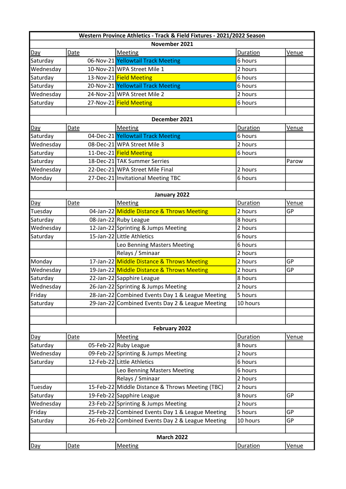| Western Province Athletics - Track & Field Fixtures - 2021/2022 Season |             |  |                                                  |          |              |  |  |  |  |
|------------------------------------------------------------------------|-------------|--|--------------------------------------------------|----------|--------------|--|--|--|--|
| November 2021                                                          |             |  |                                                  |          |              |  |  |  |  |
| Day                                                                    | <b>Date</b> |  | <b>Meeting</b>                                   | Duration | Venue        |  |  |  |  |
| Saturday                                                               |             |  | 06-Nov-21 Yellowtail Track Meeting               | 6 hours  |              |  |  |  |  |
| Wednesday                                                              |             |  | 10-Nov-21 WPA Street Mile 1                      | 2 hours  |              |  |  |  |  |
| Saturday                                                               |             |  | 13-Nov-21 Field Meeting                          | 6 hours  |              |  |  |  |  |
| Saturday                                                               |             |  | 20-Nov-21 Yellowtail Track Meeting               | 6 hours  |              |  |  |  |  |
| Wednesday                                                              |             |  | 24-Nov-21 WPA Street Mile 2                      | 2 hours  |              |  |  |  |  |
| Saturday                                                               |             |  | 27-Nov-21 Field Meeting                          | 6 hours  |              |  |  |  |  |
|                                                                        |             |  |                                                  |          |              |  |  |  |  |
| December 2021                                                          |             |  |                                                  |          |              |  |  |  |  |
| Day                                                                    | Date        |  | Meeting                                          | Duration | Venue        |  |  |  |  |
| Saturday                                                               |             |  | 04-Dec-21 Yellowtail Track Meeting               | 6 hours  |              |  |  |  |  |
| Wednesday                                                              |             |  | 08-Dec-21 WPA Street Mile 3                      | 2 hours  |              |  |  |  |  |
| Saturday                                                               |             |  | 11-Dec-21 Field Meeting                          | 6 hours  |              |  |  |  |  |
| Saturday                                                               |             |  | 18-Dec-21 TAK Summer Serries                     |          | Parow        |  |  |  |  |
| Wednesday                                                              |             |  | 22-Dec-21 WPA Street Mile Final                  | 2 hours  |              |  |  |  |  |
| Monday                                                                 |             |  | 27-Dec-21 Invitational Meeting TBC               | 6 hours  |              |  |  |  |  |
|                                                                        |             |  |                                                  |          |              |  |  |  |  |
|                                                                        |             |  | January 2022                                     |          |              |  |  |  |  |
| Day                                                                    | <b>Date</b> |  | Meeting                                          | Duration | Venue        |  |  |  |  |
| Tuesday                                                                |             |  | 04-Jan-22 Middle Distance & Throws Meeting       | 2 hours  | GP           |  |  |  |  |
| Saturday                                                               |             |  | 08-Jan-22 Ruby League                            | 8 hours  |              |  |  |  |  |
| Wednesday                                                              |             |  | 12-Jan-22 Sprinting & Jumps Meeting              | 2 hours  |              |  |  |  |  |
| Saturday                                                               |             |  | 15-Jan-22 Little Athletics                       | 6 hours  |              |  |  |  |  |
|                                                                        |             |  | Leo Benning Masters Meeting                      | 6 hours  |              |  |  |  |  |
|                                                                        |             |  | Relays / Sminaar                                 | 2 hours  |              |  |  |  |  |
| Monday                                                                 |             |  | 17-Jan-22 Middle Distance & Throws Meeting       | 2 hours  | GP           |  |  |  |  |
| Wednesday                                                              |             |  | 19-Jan-22 Middle Distance & Throws Meeting       | 2 hours  | GP           |  |  |  |  |
| Saturday                                                               |             |  | 22-Jan-22 Sapphire League                        | 8 hours  |              |  |  |  |  |
| Wednesday                                                              |             |  | 26-Jan-22 Sprinting & Jumps Meeting              | 2 hours  |              |  |  |  |  |
| Friday                                                                 |             |  | 28-Jan-22 Combined Events Day 1 & League Meeting | 5 hours  |              |  |  |  |  |
| Saturday                                                               |             |  | 29-Jan-22 Combined Events Day 2 & League Meeting | 10 hours |              |  |  |  |  |
|                                                                        |             |  |                                                  |          |              |  |  |  |  |
|                                                                        |             |  |                                                  |          |              |  |  |  |  |
| February 2022                                                          |             |  |                                                  |          |              |  |  |  |  |
| Day                                                                    | Date        |  | <b>Meeting</b>                                   | Duration | Venue        |  |  |  |  |
| Saturday                                                               |             |  | 05-Feb-22 Ruby League                            | 8 hours  |              |  |  |  |  |
| Wednesday                                                              |             |  | 09-Feb-22 Sprinting & Jumps Meeting              | 2 hours  |              |  |  |  |  |
| Saturday                                                               |             |  | 12-Feb-22 Little Athletics                       | 6 hours  |              |  |  |  |  |
|                                                                        |             |  | Leo Benning Masters Meeting                      | 6 hours  |              |  |  |  |  |
|                                                                        |             |  | Relays / Sminaar                                 | 2 hours  |              |  |  |  |  |
| Tuesday                                                                |             |  | 15-Feb-22 Middle Distance & Throws Meeting (TBC) | 2 hours  |              |  |  |  |  |
| Saturday                                                               |             |  | 19-Feb-22 Sapphire League                        | 8 hours  | GP           |  |  |  |  |
| Wednesday                                                              |             |  | 23-Feb-22 Sprinting & Jumps Meeting              | 2 hours  |              |  |  |  |  |
| Friday                                                                 |             |  | 25-Feb-22 Combined Events Day 1 & League Meeting | 5 hours  | <b>GP</b>    |  |  |  |  |
| Saturday                                                               |             |  | 26-Feb-22 Combined Events Day 2 & League Meeting | 10 hours | GP           |  |  |  |  |
|                                                                        |             |  |                                                  |          |              |  |  |  |  |
| <b>March 2022</b>                                                      |             |  |                                                  |          |              |  |  |  |  |
| Day                                                                    | <b>Date</b> |  | <b>Meeting</b>                                   | Duration | <u>Venue</u> |  |  |  |  |